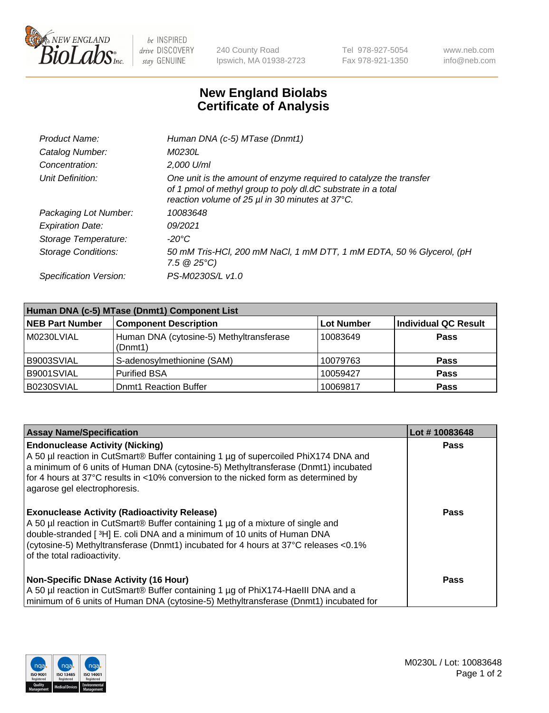

 $be$  INSPIRED drive DISCOVERY stay GENUINE

240 County Road Ipswich, MA 01938-2723 Tel 978-927-5054 Fax 978-921-1350 www.neb.com info@neb.com

## **New England Biolabs Certificate of Analysis**

| Product Name:              | Human DNA (c-5) MTase (Dnmt1)                                                                                                                                                         |
|----------------------------|---------------------------------------------------------------------------------------------------------------------------------------------------------------------------------------|
| Catalog Number:            | <i>M0230L</i>                                                                                                                                                                         |
| Concentration:             | $2.000$ U/ml                                                                                                                                                                          |
| Unit Definition:           | One unit is the amount of enzyme required to catalyze the transfer<br>of 1 pmol of methyl group to poly dl.dC substrate in a total<br>reaction volume of 25 µl in 30 minutes at 37°C. |
| Packaging Lot Number:      | 10083648                                                                                                                                                                              |
| <b>Expiration Date:</b>    | 09/2021                                                                                                                                                                               |
| Storage Temperature:       | $-20^{\circ}$ C                                                                                                                                                                       |
| <b>Storage Conditions:</b> | 50 mM Tris-HCl, 200 mM NaCl, 1 mM DTT, 1 mM EDTA, 50 % Glycerol, (pH<br>7.5 $@25°C$ )                                                                                                 |
| Specification Version:     | PS-M0230S/L v1.0                                                                                                                                                                      |

| Human DNA (c-5) MTase (Dnmt1) Component List |                                                     |                   |                      |  |  |
|----------------------------------------------|-----------------------------------------------------|-------------------|----------------------|--|--|
| <b>NEB Part Number</b>                       | <b>Component Description</b>                        | <b>Lot Number</b> | Individual QC Result |  |  |
| M0230LVIAL                                   | Human DNA (cytosine-5) Methyltransferase<br>(Dnmt1) | 10083649          | Pass                 |  |  |
| B9003SVIAL                                   | S-adenosylmethionine (SAM)                          | 10079763          | <b>Pass</b>          |  |  |
| B9001SVIAL                                   | <b>Purified BSA</b>                                 | 10059427          | <b>Pass</b>          |  |  |
| B0230SVIAL                                   | <b>Domt1 Reaction Buffer</b>                        | 10069817          | <b>Pass</b>          |  |  |

| <b>Assay Name/Specification</b>                                                                                                                                                                                                                                                                                                           | Lot #10083648 |
|-------------------------------------------------------------------------------------------------------------------------------------------------------------------------------------------------------------------------------------------------------------------------------------------------------------------------------------------|---------------|
| <b>Endonuclease Activity (Nicking)</b><br>A 50 µl reaction in CutSmart® Buffer containing 1 µg of supercoiled PhiX174 DNA and<br>a minimum of 6 units of Human DNA (cytosine-5) Methyltransferase (Dnmt1) incubated<br>for 4 hours at 37°C results in <10% conversion to the nicked form as determined by<br>agarose gel electrophoresis. | Pass          |
| <b>Exonuclease Activity (Radioactivity Release)</b><br>A 50 µl reaction in CutSmart® Buffer containing 1 µg of a mixture of single and<br>double-stranded [3H] E. coli DNA and a minimum of 10 units of Human DNA<br>(cytosine-5) Methyltransferase (Dnmt1) incubated for 4 hours at 37°C releases <0.1%<br>of the total radioactivity.   | <b>Pass</b>   |
| <b>Non-Specific DNase Activity (16 Hour)</b><br>A 50 µl reaction in CutSmart® Buffer containing 1 µg of PhiX174-HaellI DNA and a<br>minimum of 6 units of Human DNA (cytosine-5) Methyltransferase (Dnmt1) incubated for                                                                                                                  | <b>Pass</b>   |